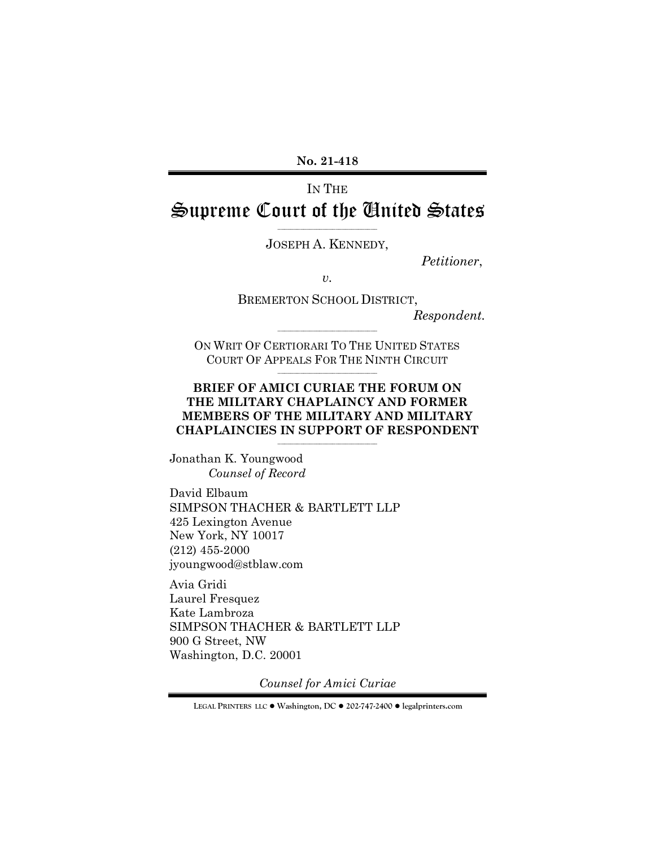**No. 21-418**

# IN THE Supreme Court of the United States

\_\_\_\_\_\_\_\_\_\_\_\_\_\_\_\_\_\_\_\_\_\_\_\_\_\_\_\_\_\_\_ JOSEPH A. KENNEDY,

*Petitioner*,

*v.*

BREMERTON SCHOOL DISTRICT,

*Respondent.*

ON WRIT OF CERTIORARI TO THE UNITED STATES COURT OF APPEALS FOR THE NINTH CIRCUIT \_\_\_\_\_\_\_\_\_\_\_\_\_\_\_\_\_\_\_\_\_\_\_\_\_\_\_\_\_\_\_

\_\_\_\_\_\_\_\_\_\_\_\_\_\_\_\_\_\_\_\_\_\_\_\_\_\_\_\_\_\_\_

## **BRIEF OF AMICI CURIAE THE FORUM ON THE MILITARY CHAPLAINCY AND FORMER MEMBERS OF THE MILITARY AND MILITARY CHAPLAINCIES IN SUPPORT OF RESPONDENT**

\_\_\_\_\_\_\_\_\_\_\_\_\_\_\_\_\_\_\_\_\_\_\_\_\_\_\_\_\_\_\_

Jonathan K. Youngwood *Counsel of Record*

David Elbaum SIMPSON THACHER & BARTLETT LLP 425 Lexington Avenue New York, NY 10017 (212) 455-2000 jyoungwood@stblaw.com

Avia Gridi Laurel Fresquez Kate Lambroza SIMPSON THACHER & BARTLETT LLP 900 G Street, NW Washington, D.C. 20001

*Counsel for Amici Curiae*

**LEGAL PRINTERS LLC** ! **Washington, DC** ! **202-747-2400** ! **legalprinters.com**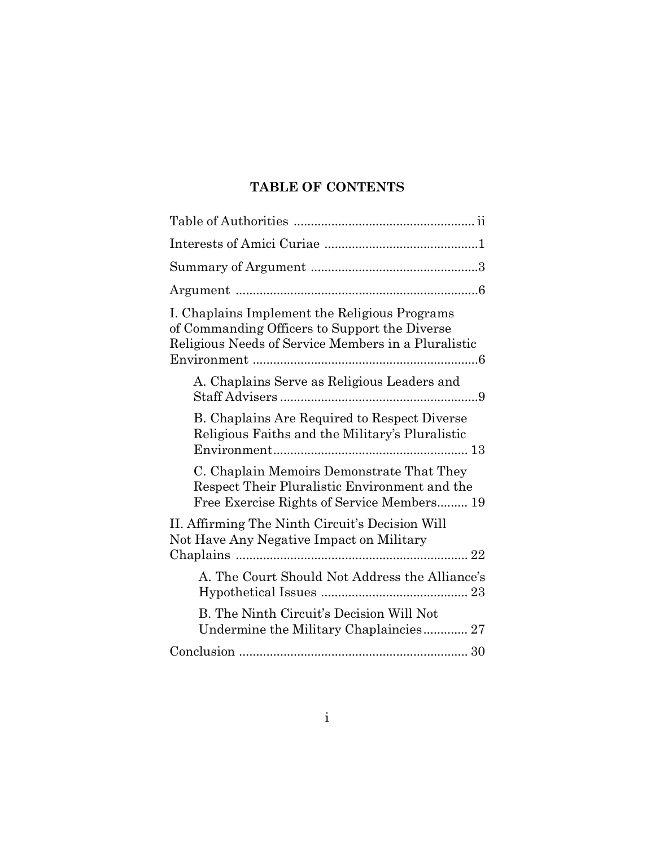# **TABLE OF CONTENTS**

| I. Chaplains Implement the Religious Programs<br>of Commanding Officers to Support the Diverse<br>Religious Needs of Service Members in a Pluralistic |
|-------------------------------------------------------------------------------------------------------------------------------------------------------|
| A. Chaplains Serve as Religious Leaders and                                                                                                           |
| B. Chaplains Are Required to Respect Diverse<br>Religious Faiths and the Military's Pluralistic                                                       |
| C. Chaplain Memoirs Demonstrate That They<br>Respect Their Pluralistic Environment and the<br>Free Exercise Rights of Service Members 19              |
| II. Affirming The Ninth Circuit's Decision Will<br>Not Have Any Negative Impact on Military                                                           |
| A. The Court Should Not Address the Alliance's                                                                                                        |
| B. The Ninth Circuit's Decision Will Not<br>Undermine the Military Chaplaincies 27                                                                    |
|                                                                                                                                                       |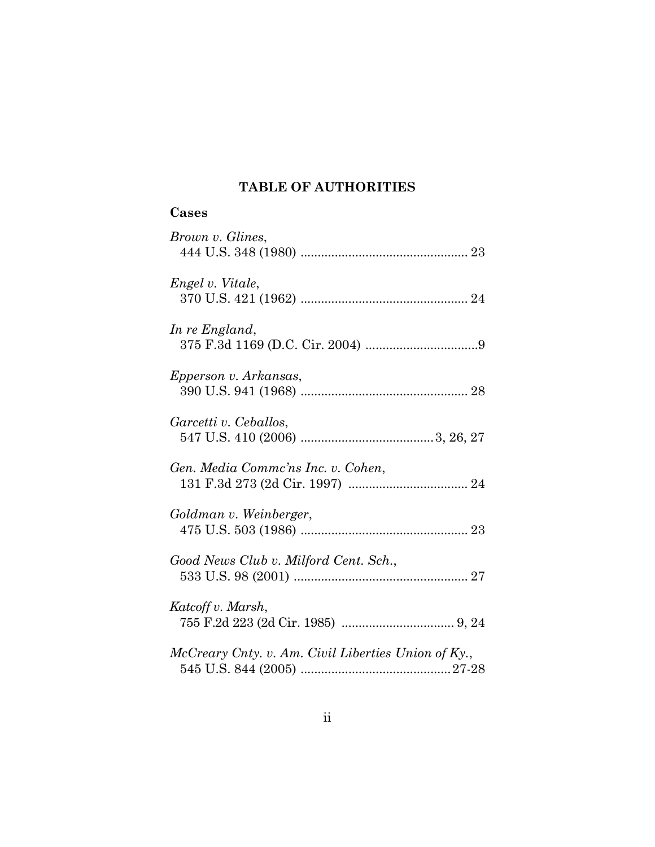# **TABLE OF AUTHORITIES**

| Cases                                               |
|-----------------------------------------------------|
| Brown v. Glines,                                    |
| Engel v. Vitale,                                    |
| In re England,                                      |
| Epperson v. Arkansas,                               |
| Garcetti v. Ceballos,                               |
| Gen. Media Commc'ns Inc. v. Cohen,                  |
| Goldman v. Weinberger,                              |
| Good News Club v. Milford Cent. Sch.,               |
| Katcoff v. Marsh,                                   |
| McCreary Cnty. v. Am. Civil Liberties Union of Ky., |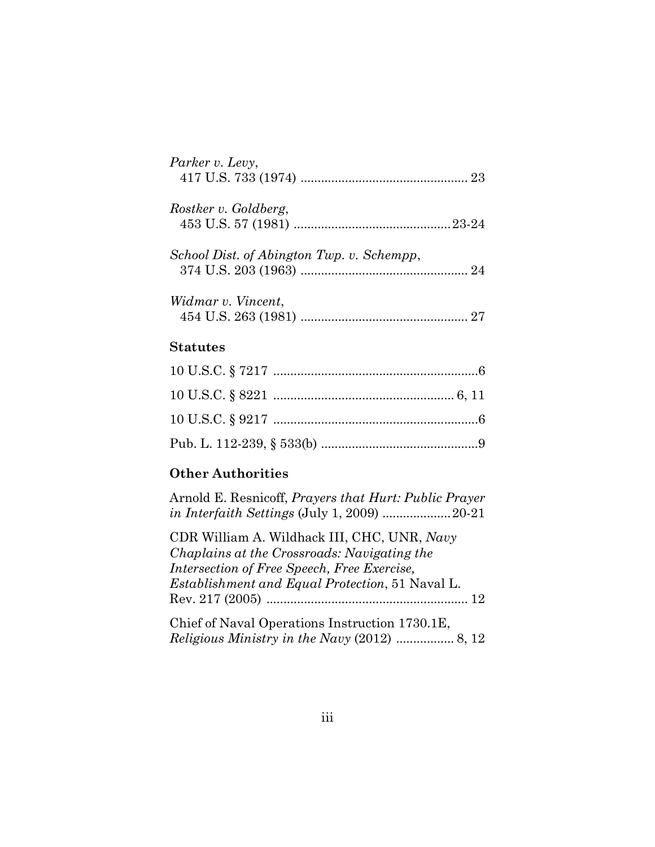| Parker v. Levy,                           |  |
|-------------------------------------------|--|
| Rostker v. Goldberg,                      |  |
| School Dist. of Abington Twp. v. Schempp, |  |
| Widmar v. Vincent,                        |  |
| Statutes                                  |  |

## **Other Authorities**

Arnold E. Resnicoff, *Prayers that Hurt: Public Prayer in Interfaith Settings* (July 1, 2009) ....................20-21

CDR William A. Wildhack III, CHC, UNR, *Navy Chaplains at the Crossroads: Navigating the Intersection of Free Speech, Free Exercise, Establishment and Equal Protection*, 51 Naval L. Rev. 217 (2005) ........................................................... 12

Chief of Naval Operations Instruction 1730.1E, *Religious Ministry in the Navy* (2012) ................. 8, 12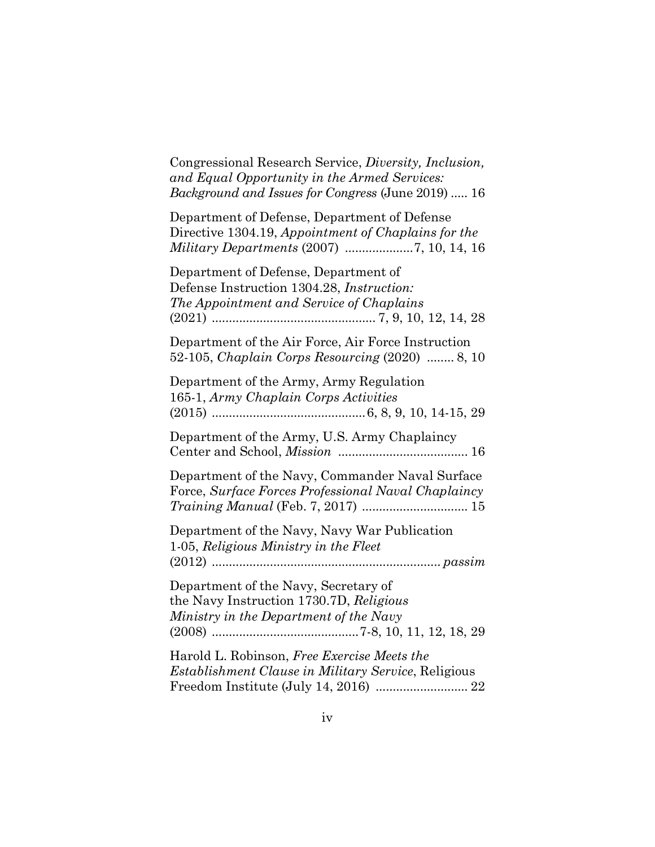Congressional Research Service, *Diversity, Inclusion, and Equal Opportunity in the Armed Services: Background and Issues for Congress* (June 2019) ..... 16

Department of Defense, Department of Defense Directive 1304.19, *Appointment of Chaplains for the Military Departments* (2007) .................... 7, 10, 14, 16

Department of Defense, Department of Defense Instruction 1304.28, *Instruction: The Appointment and Service of Chaplains* (2021) ................................................ 7, 9, 10, 12, 14, 28

Department of the Air Force, Air Force Instruction 52-105, *Chaplain Corps Resourcing* (2020) ........ 8, 10

Department of the Army, Army Regulation 165-1, *Army Chaplain Corps Activities* (2015) ............................................. 6, 8, 9, 10, 14-15, 29 Department of the Army, U.S. Army Chaplaincy

Center and School, *Mission* ...................................... 16

Department of the Navy, Commander Naval Surface Force, *Surface Forces Professional Naval Chaplaincy Training Manual* (Feb. 7, 2017) ............................... 15

Department of the Navy, Navy War Publication 1-05, *Religious Ministry in the Fleet* (2012) ................................................................... *passim*

Department of the Navy, Secretary of the Navy Instruction 1730.7D, *Religious Ministry in the Department of the Navy* (2008) ........................................... 7-8, 10, 11, 12, 18, 29

Harold L. Robinson, *Free Exercise Meets the Establishment Clause in Military Service*, Religious Freedom Institute (July 14, 2016) ........................... 22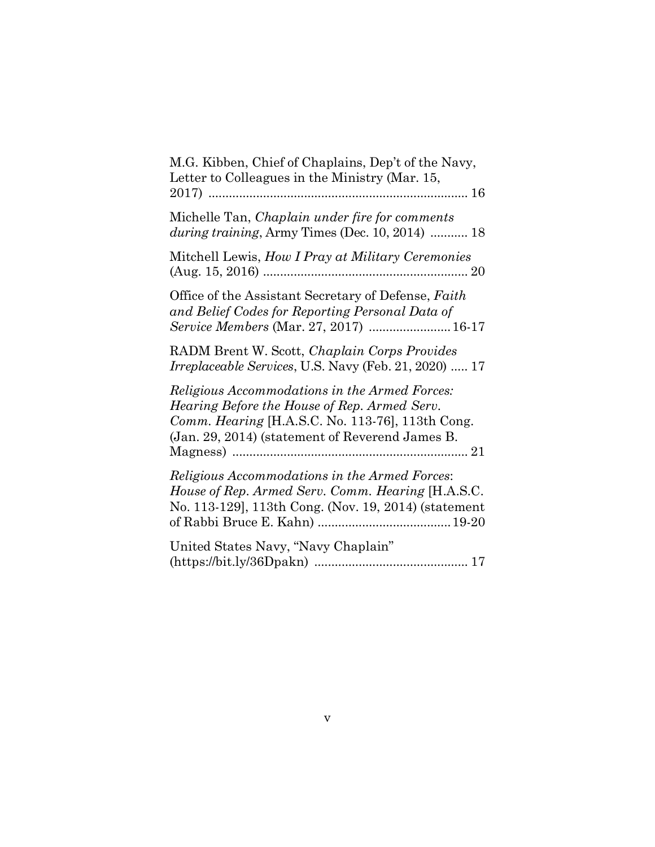| M.G. Kibben, Chief of Chaplains, Dep't of the Navy,<br>Letter to Colleagues in the Ministry (Mar. 15,                                                                                                |
|------------------------------------------------------------------------------------------------------------------------------------------------------------------------------------------------------|
| Michelle Tan, <i>Chaplain under fire for comments</i><br>during training, Army Times (Dec. 10, 2014)  18                                                                                             |
| Mitchell Lewis, How I Pray at Military Ceremonies                                                                                                                                                    |
| Office of the Assistant Secretary of Defense, Faith<br>and Belief Codes for Reporting Personal Data of<br><i>Service Members</i> (Mar. 27, 2017)  16-17                                              |
| RADM Brent W. Scott, Chaplain Corps Provides<br><i>Irreplaceable Services</i> , U.S. Navy (Feb. 21, 2020)  17                                                                                        |
| Religious Accommodations in the Armed Forces:<br>Hearing Before the House of Rep. Armed Serv.<br>Comm. Hearing [H.A.S.C. No. 113-76], 113th Cong.<br>(Jan. 29, 2014) (statement of Reverend James B. |
| Religious Accommodations in the Armed Forces:<br>House of Rep. Armed Serv. Comm. Hearing [H.A.S.C.]<br>No. 113-129], 113th Cong. (Nov. 19, 2014) (statement                                          |
| United States Navy, "Navy Chaplain"                                                                                                                                                                  |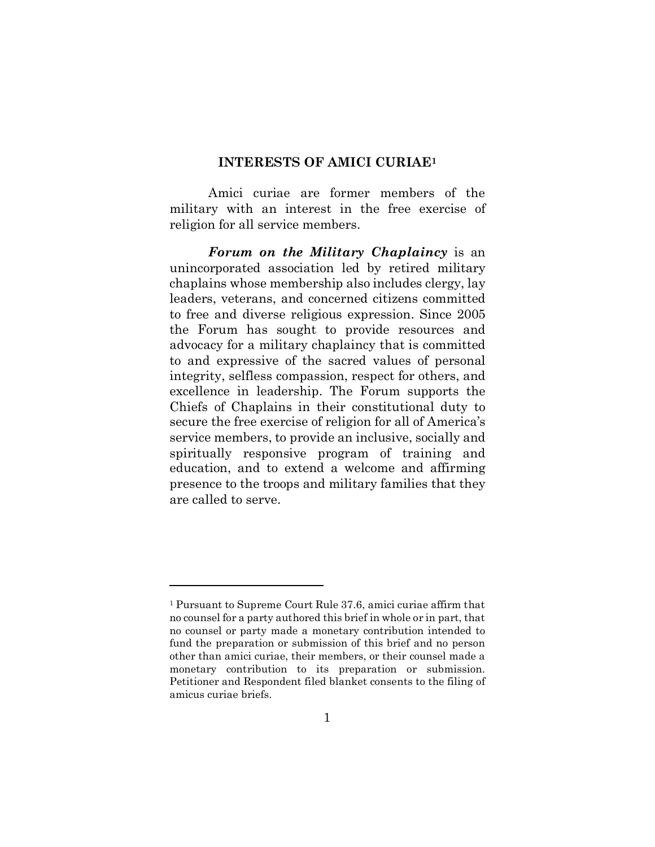### **INTERESTS OF AMICI CURIAE[1](#page-6-0)**

Amici curiae are former members of the military with an interest in the free exercise of religion for all service members.

*Forum on the Military Chaplaincy* is an unincorporated association led by retired military chaplains whose membership also includes clergy, lay leaders, veterans, and concerned citizens committed to free and diverse religious expression. Since 2005 the Forum has sought to provide resources and advocacy for a military chaplaincy that is committed to and expressive of the sacred values of personal integrity, selfless compassion, respect for others, and excellence in leadership. The Forum supports the Chiefs of Chaplains in their constitutional duty to secure the free exercise of religion for all of America's service members, to provide an inclusive, socially and spiritually responsive program of training and education, and to extend a welcome and affirming presence to the troops and military families that they are called to serve.

<span id="page-6-0"></span><sup>1</sup> Pursuant to Supreme Court Rule 37.6, amici curiae affirm that no counsel for a party authored this brief in whole or in part, that no counsel or party made a monetary contribution intended to fund the preparation or submission of this brief and no person other than amici curiae, their members, or their counsel made a monetary contribution to its preparation or submission. Petitioner and Respondent filed blanket consents to the filing of amicus curiae briefs.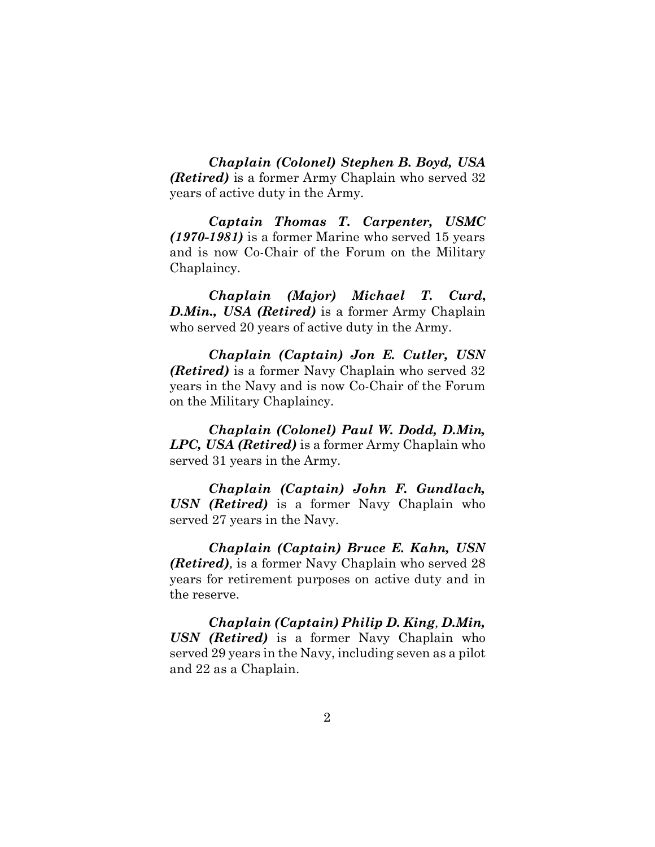*Chaplain (Colonel) Stephen B. Boyd, USA (Retired)* is a former Army Chaplain who served 32 years of active duty in the Army.

*Captain Thomas T. Carpenter, USMC (1970-1981)* is a former Marine who served 15 years and is now Co-Chair of the Forum on the Military Chaplaincy.

*Chaplain (Major) Michael T. Curd***,**  *D.Min., USA (Retired)* is a former Army Chaplain who served 20 years of active duty in the Army.

*Chaplain (Captain) Jon E. Cutler, USN (Retired)* is a former Navy Chaplain who served 32 years in the Navy and is now Co-Chair of the Forum on the Military Chaplaincy.

*Chaplain (Colonel) Paul W. Dodd, D.Min, LPC, USA (Retired)* is a former Army Chaplain who served 31 years in the Army.

*Chaplain (Captain) John F. Gundlach, USN (Retired)* is a former Navy Chaplain who served 27 years in the Navy.

*Chaplain (Captain) Bruce E. Kahn, USN (Retired),* is a former Navy Chaplain who served 28 years for retirement purposes on active duty and in the reserve.

*Chaplain (Captain) Philip D. King, D.Min, USN (Retired)* is a former Navy Chaplain who served 29 years in the Navy, including seven as a pilot and 22 as a Chaplain.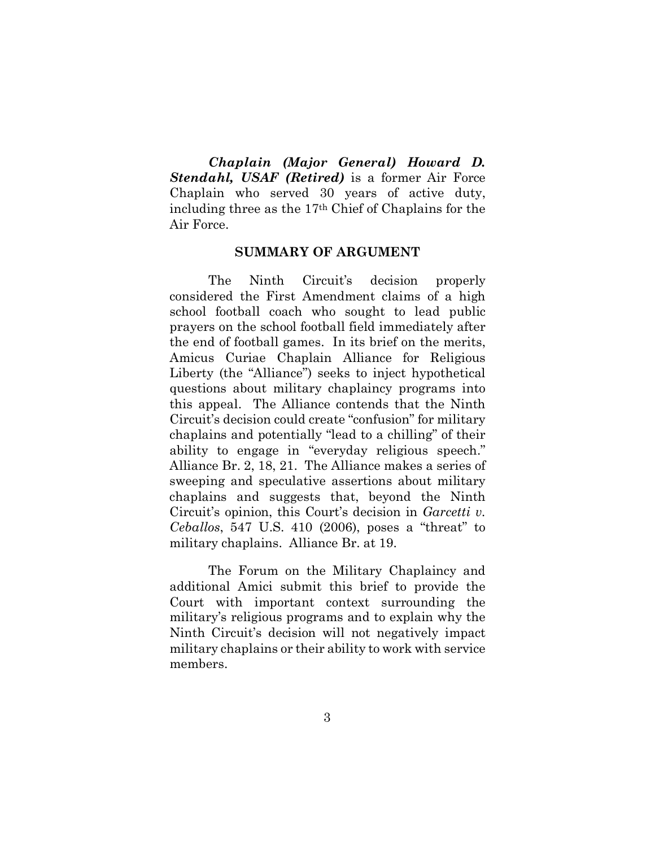*Chaplain (Major General) Howard D. Stendahl, USAF (Retired)* is a former Air Force Chaplain who served 30 years of active duty, including three as the 17th Chief of Chaplains for the Air Force.

#### **SUMMARY OF ARGUMENT**

The Ninth Circuit's decision properly considered the First Amendment claims of a high school football coach who sought to lead public prayers on the school football field immediately after the end of football games. In its brief on the merits, Amicus Curiae Chaplain Alliance for Religious Liberty (the "Alliance") seeks to inject hypothetical questions about military chaplaincy programs into this appeal. The Alliance contends that the Ninth Circuit's decision could create "confusion" for military chaplains and potentially "lead to a chilling" of their ability to engage in "everyday religious speech." Alliance Br. 2, 18, 21. The Alliance makes a series of sweeping and speculative assertions about military chaplains and suggests that, beyond the Ninth Circuit's opinion, this Court's decision in *Garcetti v. Ceballos*, 547 U.S. 410 (2006), poses a "threat" to military chaplains. Alliance Br. at 19.

The Forum on the Military Chaplaincy and additional Amici submit this brief to provide the Court with important context surrounding the military's religious programs and to explain why the Ninth Circuit's decision will not negatively impact military chaplains or their ability to work with service members.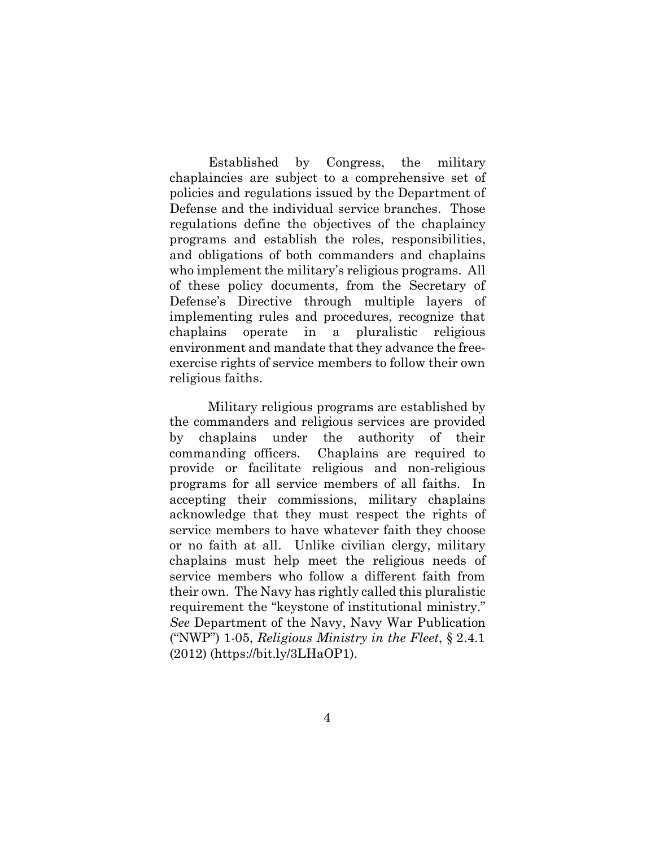Established by Congress, the military chaplaincies are subject to a comprehensive set of policies and regulations issued by the Department of Defense and the individual service branches. Those regulations define the objectives of the chaplaincy programs and establish the roles, responsibilities, and obligations of both commanders and chaplains who implement the military's religious programs. All of these policy documents, from the Secretary of Defense's Directive through multiple layers of implementing rules and procedures, recognize that chaplains operate in a pluralistic religious environment and mandate that they advance the freeexercise rights of service members to follow their own religious faiths.

Military religious programs are established by the commanders and religious services are provided by chaplains under the authority of their commanding officers. Chaplains are required to provide or facilitate religious and non-religious programs for all service members of all faiths. In accepting their commissions, military chaplains acknowledge that they must respect the rights of service members to have whatever faith they choose or no faith at all. Unlike civilian clergy, military chaplains must help meet the religious needs of service members who follow a different faith from their own. The Navy has rightly called this pluralistic requirement the "keystone of institutional ministry." *See* Department of the Navy, Navy War Publication ("NWP") 1-05, *Religious Ministry in the Fleet*, § 2.4.1 (2012) (https://bit.ly/3LHaOP1).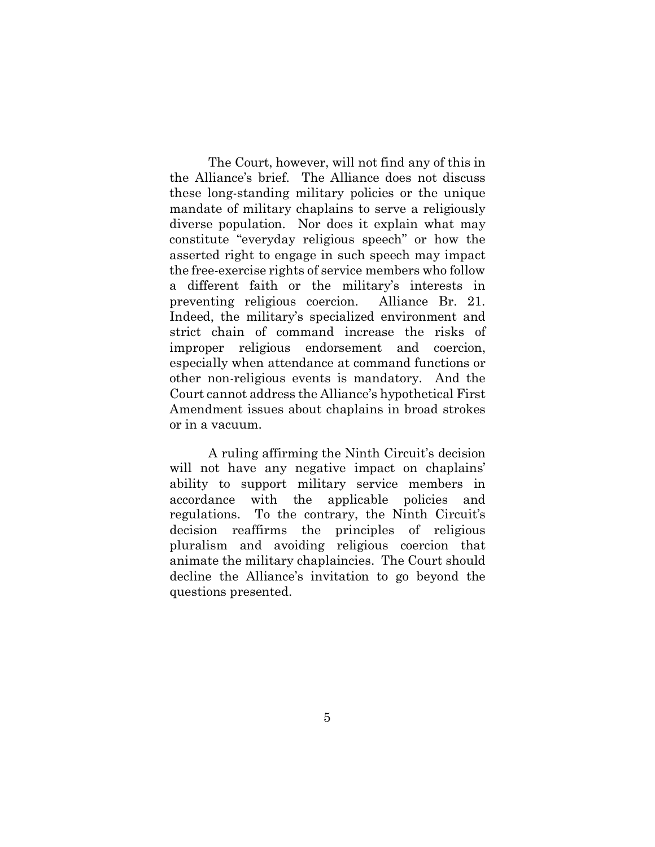The Court, however, will not find any of this in the Alliance's brief. The Alliance does not discuss these long-standing military policies or the unique mandate of military chaplains to serve a religiously diverse population. Nor does it explain what may constitute "everyday religious speech" or how the asserted right to engage in such speech may impact the free-exercise rights of service members who follow a different faith or the military's interests in preventing religious coercion. Alliance Br. 21. Indeed, the military's specialized environment and strict chain of command increase the risks of improper religious endorsement and coercion, especially when attendance at command functions or other non-religious events is mandatory. And the Court cannot address the Alliance's hypothetical First Amendment issues about chaplains in broad strokes or in a vacuum.

A ruling affirming the Ninth Circuit's decision will not have any negative impact on chaplains' ability to support military service members in accordance with the applicable policies and regulations. To the contrary, the Ninth Circuit's decision reaffirms the principles of religious pluralism and avoiding religious coercion that animate the military chaplaincies. The Court should decline the Alliance's invitation to go beyond the questions presented.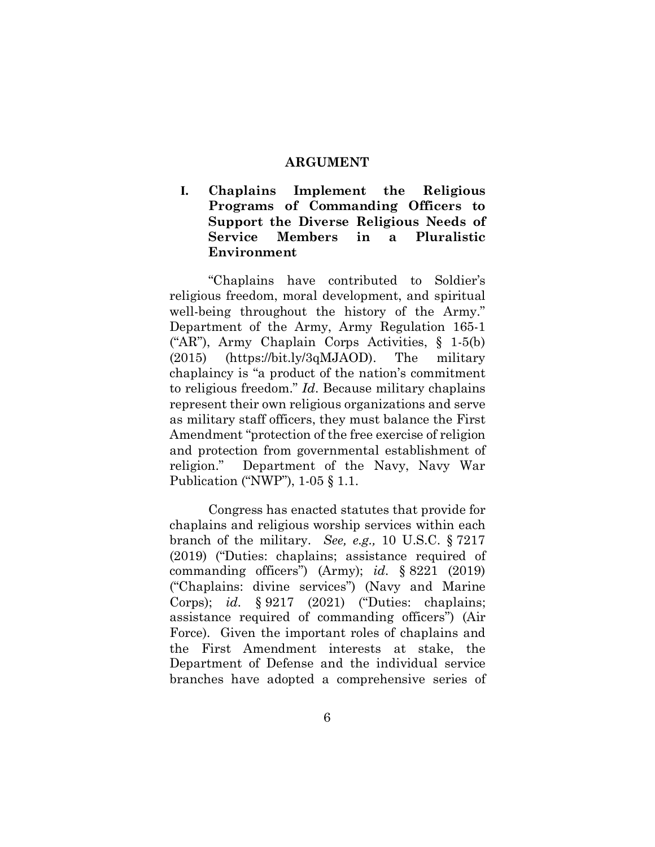#### **ARGUMENT**

**I. Chaplains Implement the Religious Programs of Commanding Officers to Support the Diverse Religious Needs of Service Members in a Pluralistic Environment**

"Chaplains have contributed to Soldier's religious freedom, moral development, and spiritual well-being throughout the history of the Army." Department of the Army, Army Regulation 165-1 ("AR"), Army Chaplain Corps Activities, § 1-5(b) (2015) (https://bit.ly/3qMJAOD). The military chaplaincy is "a product of the nation's commitment to religious freedom." *Id*. Because military chaplains represent their own religious organizations and serve as military staff officers, they must balance the First Amendment "protection of the free exercise of religion and protection from governmental establishment of religion." Department of the Navy, Navy War Publication ("NWP"), 1-05 § 1.1.

Congress has enacted statutes that provide for chaplains and religious worship services within each branch of the military. *See, e.g.,* 10 U.S.C. § 7217 (2019) ("Duties: chaplains; assistance required of commanding officers") (Army); *id.* § 8221 (2019) ("Chaplains: divine services") (Navy and Marine Corps); *id.* § 9217 (2021) ("Duties: chaplains; assistance required of commanding officers") (Air Force). Given the important roles of chaplains and the First Amendment interests at stake, the Department of Defense and the individual service branches have adopted a comprehensive series of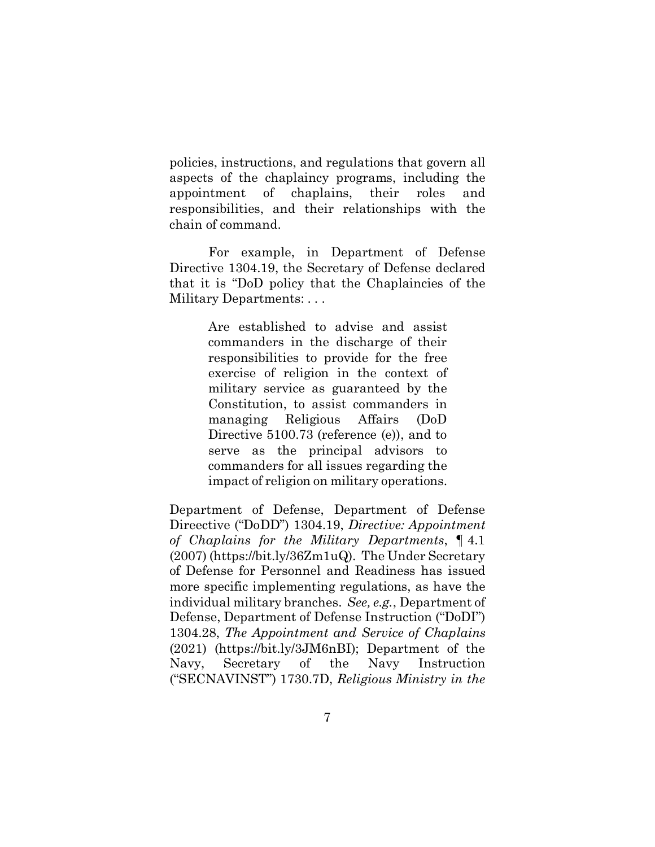policies, instructions, and regulations that govern all aspects of the chaplaincy programs, including the appointment of chaplains, their roles and responsibilities, and their relationships with the chain of command.

For example, in Department of Defense Directive 1304.19, the Secretary of Defense declared that it is "DoD policy that the Chaplaincies of the Military Departments: . . .

> Are established to advise and assist commanders in the discharge of their responsibilities to provide for the free exercise of religion in the context of military service as guaranteed by the Constitution, to assist commanders in managing Religious Affairs (DoD Directive 5100.73 (reference (e)), and to serve as the principal advisors to commanders for all issues regarding the impact of religion on military operations.

Department of Defense, Department of Defense Direective ("DoDD") 1304.19, *Directive: Appointment of Chaplains for the Military Departments*, ¶ 4.1 (2007) (https://bit.ly/36Zm1uQ). The Under Secretary of Defense for Personnel and Readiness has issued more specific implementing regulations, as have the individual military branches. *See, e.g.*, Department of Defense, Department of Defense Instruction ("DoDI") 1304.28, *The Appointment and Service of Chaplains* (2021) (https://bit.ly/3JM6nBI); Department of the Navy, Secretary of the Navy Instruction ("SECNAVINST") 1730.7D, *Religious Ministry in the*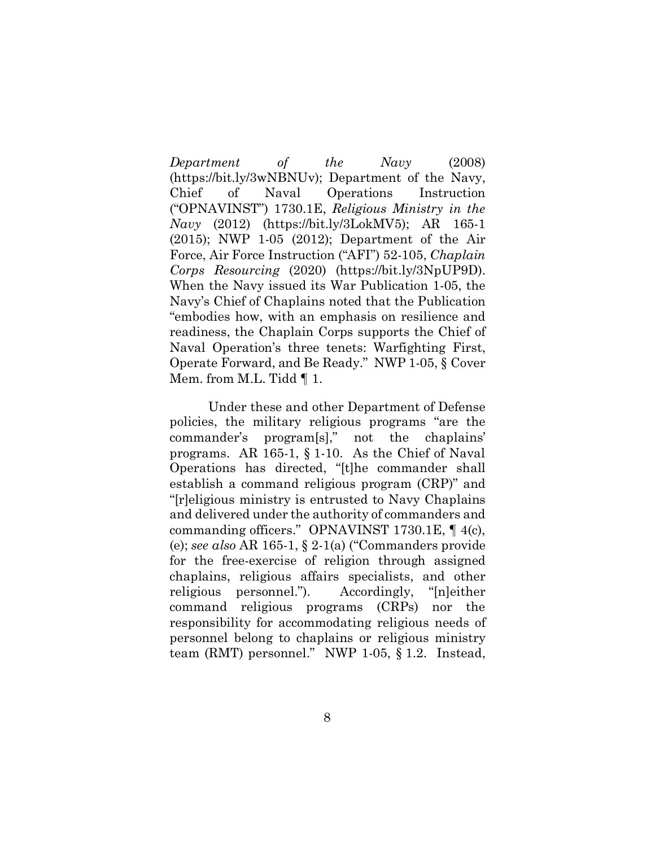*Department of the Navy* (2008) (https://bit.ly/3wNBNUv); Department of the Navy, Chief of Naval Operations Instruction ("OPNAVINST") 1730.1E, *Religious Ministry in the Navy* (2012) (https://bit.ly/3LokMV5); AR 165-1 (2015); NWP 1-05 (2012); Department of the Air Force, Air Force Instruction ("AFI") 52-105, *Chaplain Corps Resourcing* (2020) (https://bit.ly/3NpUP9D). When the Navy issued its War Publication 1-05, the Navy's Chief of Chaplains noted that the Publication "embodies how, with an emphasis on resilience and readiness, the Chaplain Corps supports the Chief of Naval Operation's three tenets: Warfighting First, Operate Forward, and Be Ready." NWP 1-05, § Cover Mem. from M.L. Tidd  $\P$  1.

Under these and other Department of Defense policies, the military religious programs "are the commander's program[s]," not the chaplains' programs. AR 165-1, § 1-10. As the Chief of Naval Operations has directed, "[t]he commander shall establish a command religious program (CRP)" and "[r]eligious ministry is entrusted to Navy Chaplains and delivered under the authority of commanders and commanding officers." OPNAVINST 1730.1E, ¶ 4(c), (e); *see also* AR 165-1, § 2-1(a) ("Commanders provide for the free-exercise of religion through assigned chaplains, religious affairs specialists, and other religious personnel."). Accordingly, "[n]either command religious programs (CRPs) nor the responsibility for accommodating religious needs of personnel belong to chaplains or religious ministry team (RMT) personnel." NWP 1-05, § 1.2. Instead,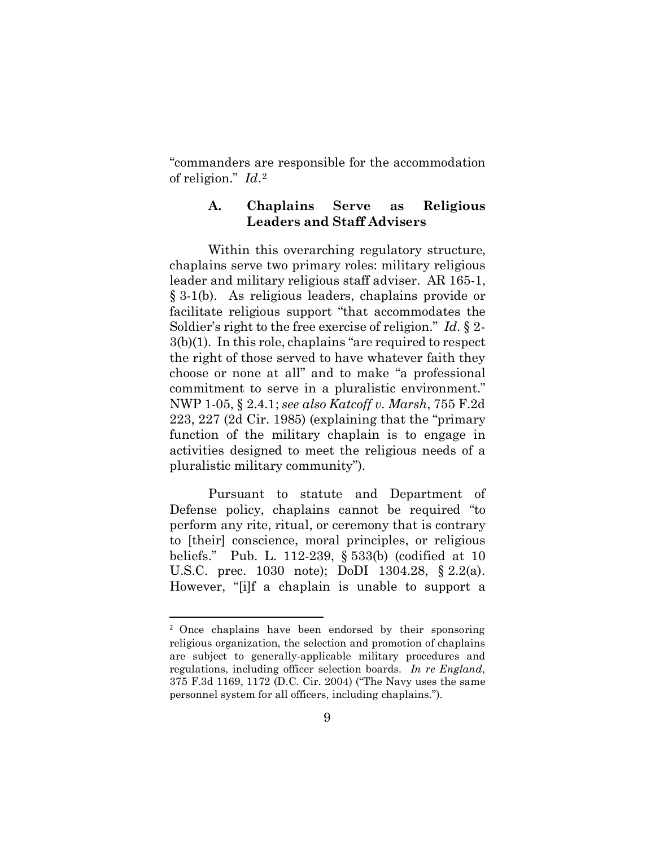"commanders are responsible for the accommodation of religion." *Id*.[2](#page-14-0) 

# **A. Chaplains Serve as Religious Leaders and Staff Advisers**

Within this overarching regulatory structure, chaplains serve two primary roles: military religious leader and military religious staff adviser. AR 165-1, § 3-1(b). As religious leaders, chaplains provide or facilitate religious support "that accommodates the Soldier's right to the free exercise of religion." *Id.* § 2- 3(b)(1). In this role, chaplains "are required to respect the right of those served to have whatever faith they choose or none at all" and to make "a professional commitment to serve in a pluralistic environment." NWP 1-05, § 2.4.1; *see also Katcoff v. Marsh*, 755 F.2d 223, 227 (2d Cir. 1985) (explaining that the "primary function of the military chaplain is to engage in activities designed to meet the religious needs of a pluralistic military community").

Pursuant to statute and Department of Defense policy, chaplains cannot be required "to perform any rite, ritual, or ceremony that is contrary to [their] conscience, moral principles, or religious beliefs." Pub. L. 112-239, § 533(b) (codified at 10 U.S.C. prec. 1030 note); DoDI 1304.28, § 2.2(a). However, "[i]f a chaplain is unable to support a

<span id="page-14-0"></span><sup>2</sup> Once chaplains have been endorsed by their sponsoring religious organization, the selection and promotion of chaplains are subject to generally-applicable military procedures and regulations, including officer selection boards. *In re England*, 375 F.3d 1169, 1172 (D.C. Cir. 2004) ("The Navy uses the same personnel system for all officers, including chaplains.").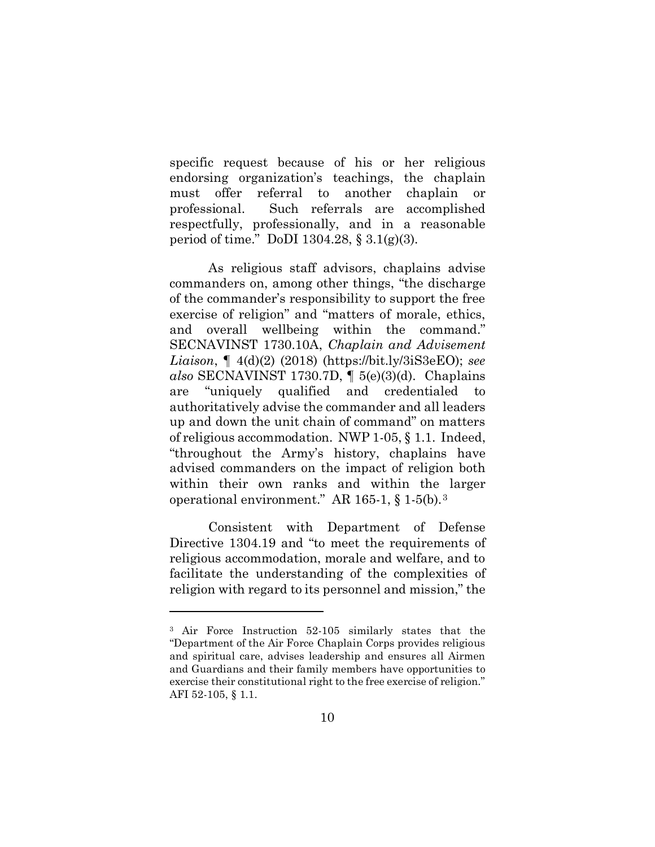specific request because of his or her religious endorsing organization's teachings, the chaplain must offer referral to another chaplain or professional. Such referrals are accomplished respectfully, professionally, and in a reasonable period of time." DoDI 1304.28, § 3.1(g)(3).

As religious staff advisors, chaplains advise commanders on, among other things, "the discharge of the commander's responsibility to support the free exercise of religion" and "matters of morale, ethics, and overall wellbeing within the command." SECNAVINST 1730.10A, *Chaplain and Advisement Liaison*, ¶ 4(d)(2) (2018) (https://bit.ly/3iS3eEO); *see also* SECNAVINST 1730.7D, ¶ 5(e)(3)(d). Chaplains are "uniquely qualified and credentialed to authoritatively advise the commander and all leaders up and down the unit chain of command" on matters of religious accommodation. NWP 1-05, § 1.1. Indeed, "throughout the Army's history, chaplains have advised commanders on the impact of religion both within their own ranks and within the larger operational environment." AR 165-1, § 1-5(b).[3](#page-15-0)

Consistent with Department of Defense Directive 1304.19 and "to meet the requirements of religious accommodation, morale and welfare, and to facilitate the understanding of the complexities of religion with regard to its personnel and mission," the

<span id="page-15-0"></span><sup>3</sup> Air Force Instruction 52-105 similarly states that the "Department of the Air Force Chaplain Corps provides religious and spiritual care, advises leadership and ensures all Airmen and Guardians and their family members have opportunities to exercise their constitutional right to the free exercise of religion." AFI 52-105, § 1.1.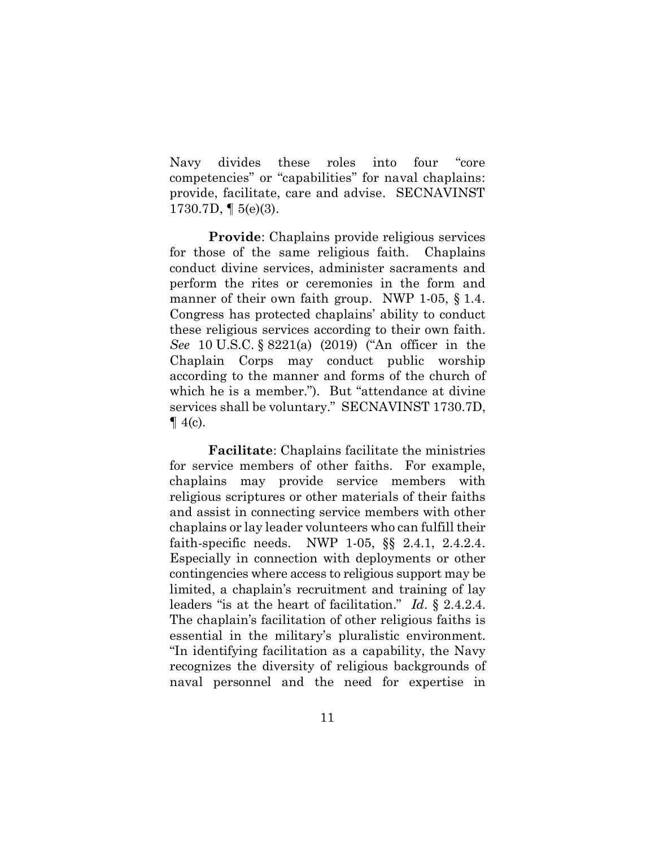Navy divides these roles into four "core competencies" or "capabilities" for naval chaplains: provide, facilitate, care and advise. SECNAVINST 1730.7D, ¶ 5(e)(3).

**Provide**: Chaplains provide religious services for those of the same religious faith. Chaplains conduct divine services, administer sacraments and perform the rites or ceremonies in the form and manner of their own faith group. NWP 1-05, § 1.4. Congress has protected chaplains' ability to conduct these religious services according to their own faith. *See* 10 U.S.C. § 8221(a) (2019) ("An officer in the Chaplain Corps may conduct public worship according to the manner and forms of the church of which he is a member."). But "attendance at divine services shall be voluntary." SECNAVINST 1730.7D,  $\P$  4(c).

**Facilitate**: Chaplains facilitate the ministries for service members of other faiths. For example, chaplains may provide service members with religious scriptures or other materials of their faiths and assist in connecting service members with other chaplains or lay leader volunteers who can fulfill their faith-specific needs. NWP 1-05, §§ 2.4.1, 2.4.2.4. Especially in connection with deployments or other contingencies where access to religious support may be limited, a chaplain's recruitment and training of lay leaders "is at the heart of facilitation." *Id*. § 2.4.2.4. The chaplain's facilitation of other religious faiths is essential in the military's pluralistic environment. "In identifying facilitation as a capability, the Navy recognizes the diversity of religious backgrounds of naval personnel and the need for expertise in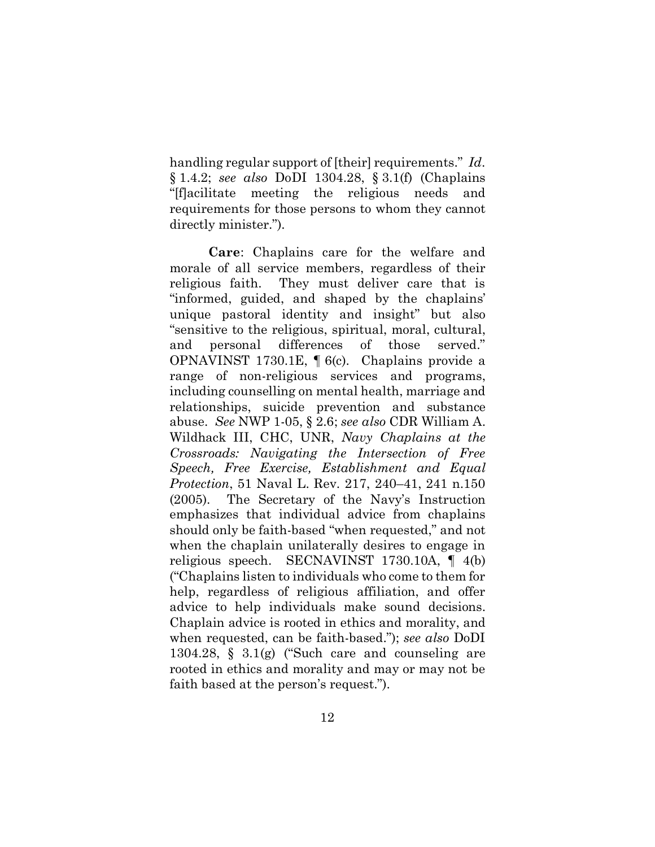handling regular support of [their] requirements." *Id*. § 1.4.2; *see also* DoDI 1304.28, § 3.1(f) (Chaplains "[f]acilitate meeting the religious needs and requirements for those persons to whom they cannot directly minister.").

**Care**: Chaplains care for the welfare and morale of all service members, regardless of their religious faith. They must deliver care that is "informed, guided, and shaped by the chaplains' unique pastoral identity and insight" but also "sensitive to the religious, spiritual, moral, cultural, and personal differences of those served." OPNAVINST 1730.1E, ¶ 6(c). Chaplains provide a range of non-religious services and programs, including counselling on mental health, marriage and relationships, suicide prevention and substance abuse. *See* NWP 1-05, § 2.6; *see also* CDR William A. Wildhack III, CHC, UNR, *Navy Chaplains at the Crossroads: Navigating the Intersection of Free Speech, Free Exercise, Establishment and Equal Protection*, 51 Naval L. Rev. 217, 240–41, 241 n.150 (2005). The Secretary of the Navy's Instruction emphasizes that individual advice from chaplains should only be faith-based "when requested," and not when the chaplain unilaterally desires to engage in religious speech. SECNAVINST 1730.10A, ¶ 4(b) ("Chaplains listen to individuals who come to them for help, regardless of religious affiliation, and offer advice to help individuals make sound decisions. Chaplain advice is rooted in ethics and morality, and when requested, can be faith-based."); *see also* DoDI 1304.28,  $\S$  3.1(g) ("Such care and counseling are rooted in ethics and morality and may or may not be faith based at the person's request.").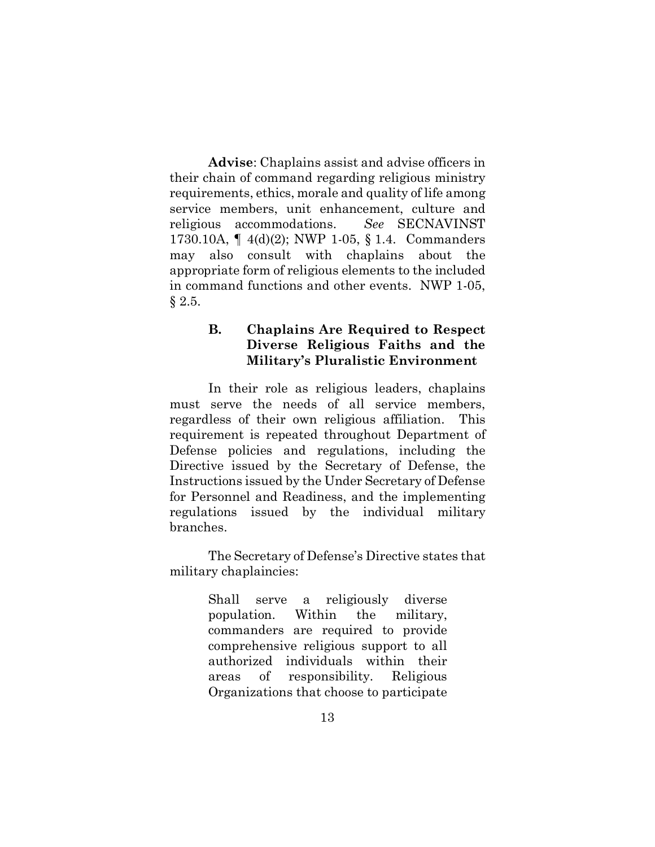**Advise**: Chaplains assist and advise officers in their chain of command regarding religious ministry requirements, ethics, morale and quality of life among service members, unit enhancement, culture and religious accommodations. *See* SECNAVINST 1730.10A, ¶ 4(d)(2); NWP 1-05, § 1.4. Commanders may also consult with chaplains about the appropriate form of religious elements to the included in command functions and other events. NWP 1-05, § 2.5.

# **B. Chaplains Are Required to Respect Diverse Religious Faiths and the Military's Pluralistic Environment**

In their role as religious leaders, chaplains must serve the needs of all service members, regardless of their own religious affiliation. This requirement is repeated throughout Department of Defense policies and regulations, including the Directive issued by the Secretary of Defense, the Instructions issued by the Under Secretary of Defense for Personnel and Readiness, and the implementing regulations issued by the individual military branches.

The Secretary of Defense's Directive states that military chaplaincies:

> Shall serve a religiously diverse population. Within the military, commanders are required to provide comprehensive religious support to all authorized individuals within their areas of responsibility. Religious Organizations that choose to participate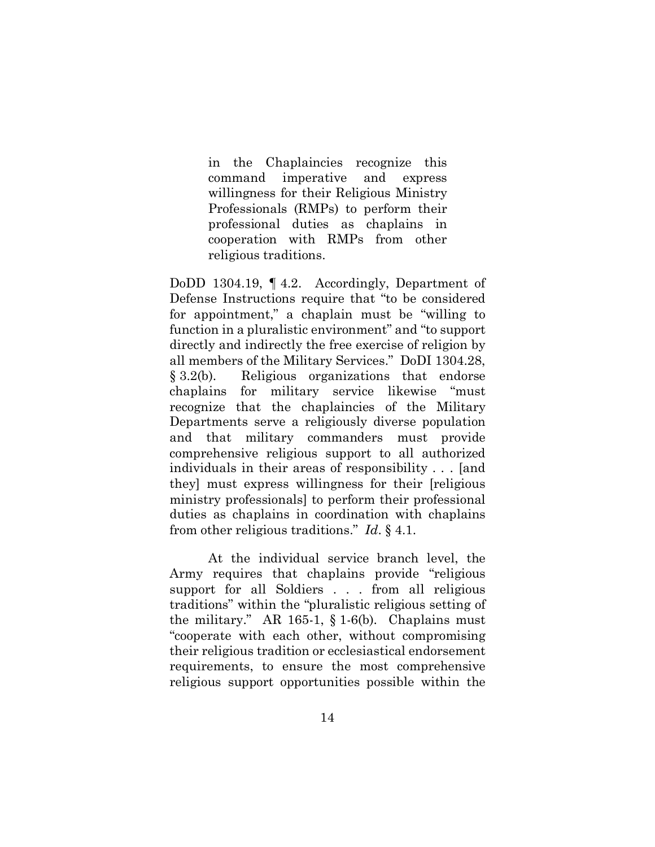in the Chaplaincies recognize this command imperative and express willingness for their Religious Ministry Professionals (RMPs) to perform their professional duties as chaplains in cooperation with RMPs from other religious traditions.

DoDD 1304.19, ¶ 4.2. Accordingly, Department of Defense Instructions require that "to be considered for appointment," a chaplain must be "willing to function in a pluralistic environment" and "to support directly and indirectly the free exercise of religion by all members of the Military Services." DoDI 1304.28, § 3.2(b). Religious organizations that endorse chaplains for military service likewise "must recognize that the chaplaincies of the Military Departments serve a religiously diverse population and that military commanders must provide comprehensive religious support to all authorized individuals in their areas of responsibility . . . [and they] must express willingness for their [religious ministry professionals] to perform their professional duties as chaplains in coordination with chaplains from other religious traditions." *Id*. § 4.1.

At the individual service branch level, the Army requires that chaplains provide "religious support for all Soldiers . . . from all religious traditions" within the "pluralistic religious setting of the military." AR 165-1, § 1-6(b). Chaplains must "cooperate with each other, without compromising their religious tradition or ecclesiastical endorsement requirements, to ensure the most comprehensive religious support opportunities possible within the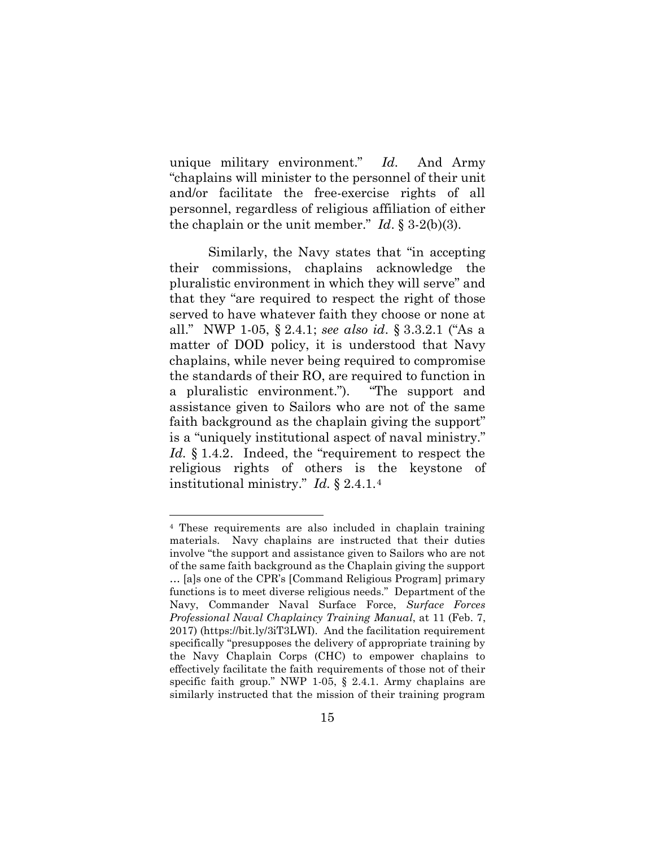unique military environment." *Id.* And Army "chaplains will minister to the personnel of their unit and/or facilitate the free-exercise rights of all personnel, regardless of religious affiliation of either the chaplain or the unit member." *Id*. § 3-2(b)(3).

Similarly, the Navy states that "in accepting their commissions, chaplains acknowledge the pluralistic environment in which they will serve" and that they "are required to respect the right of those served to have whatever faith they choose or none at all." NWP 1-05, § 2.4.1; *see also id.* § 3.3.2.1 ("As a matter of DOD policy, it is understood that Navy chaplains, while never being required to compromise the standards of their RO, are required to function in a pluralistic environment."). "The support and assistance given to Sailors who are not of the same faith background as the chaplain giving the support" is a "uniquely institutional aspect of naval ministry." Id. § 1.4.2. Indeed, the "requirement to respect the religious rights of others is the keystone of institutional ministry." *Id.* § 2.4.1.[4](#page-20-0) 

<span id="page-20-0"></span><sup>4</sup> These requirements are also included in chaplain training materials. Navy chaplains are instructed that their duties involve "the support and assistance given to Sailors who are not of the same faith background as the Chaplain giving the support … [a]s one of the CPR's [Command Religious Program] primary functions is to meet diverse religious needs." Department of the Navy, Commander Naval Surface Force, *Surface Forces Professional Naval Chaplaincy Training Manual*, at 11 (Feb. 7, 2017) (https://bit.ly/3iT3LWI). And the facilitation requirement specifically "presupposes the delivery of appropriate training by the Navy Chaplain Corps (CHC) to empower chaplains to effectively facilitate the faith requirements of those not of their specific faith group." NWP 1-05, § 2.4.1. Army chaplains are similarly instructed that the mission of their training program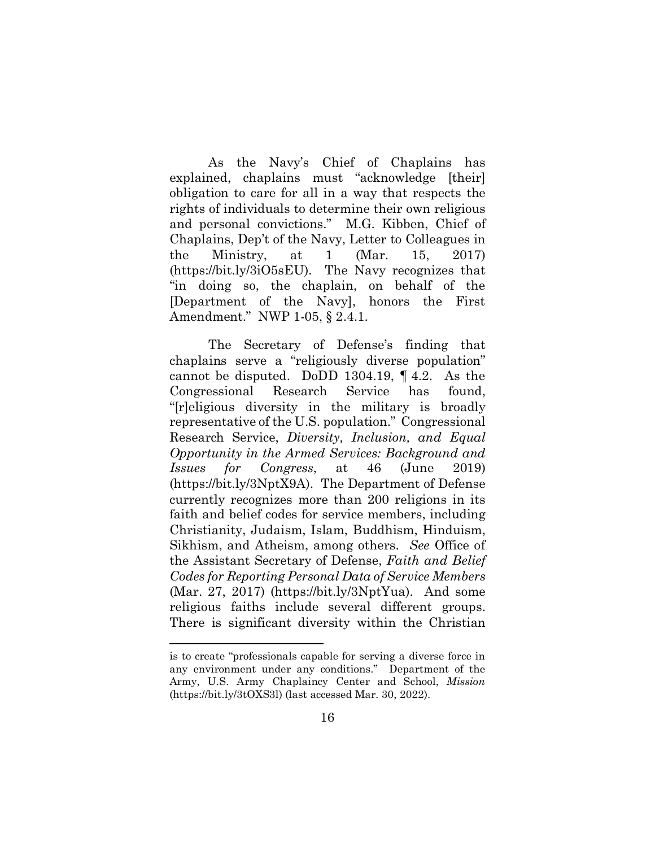As the Navy's Chief of Chaplains has explained, chaplains must "acknowledge [their] obligation to care for all in a way that respects the rights of individuals to determine their own religious and personal convictions." M.G. Kibben, Chief of Chaplains, Dep't of the Navy, Letter to Colleagues in the Ministry, at 1 (Mar. 15, 2017) (https://bit.ly/3iO5sEU). The Navy recognizes that "in doing so, the chaplain, on behalf of the [Department of the Navy], honors the First Amendment." NWP 1-05, § 2.4.1.

The Secretary of Defense's finding that chaplains serve a "religiously diverse population" cannot be disputed. DoDD 1304.19, ¶ 4.2. As the Congressional Research Service has found, "[r]eligious diversity in the military is broadly representative of the U.S. population." Congressional Research Service, *Diversity, Inclusion, and Equal Opportunity in the Armed Services: Background and Issues for Congress*, at 46 (June 2019) (https://bit.ly/3NptX9A). The Department of Defense currently recognizes more than 200 religions in its faith and belief codes for service members, including Christianity, Judaism, Islam, Buddhism, Hinduism, Sikhism, and Atheism, among others. *See* Office of the Assistant Secretary of Defense, *Faith and Belief Codes for Reporting Personal Data of Service Members* (Mar. 27, 2017) (https://bit.ly/3NptYua). And some religious faiths include several different groups. There is significant diversity within the Christian

is to create "professionals capable for serving a diverse force in any environment under any conditions." Department of the Army, U.S. Army Chaplaincy Center and School, *Mission* (https://bit.ly/3tOXS3l) (last accessed Mar. 30, 2022).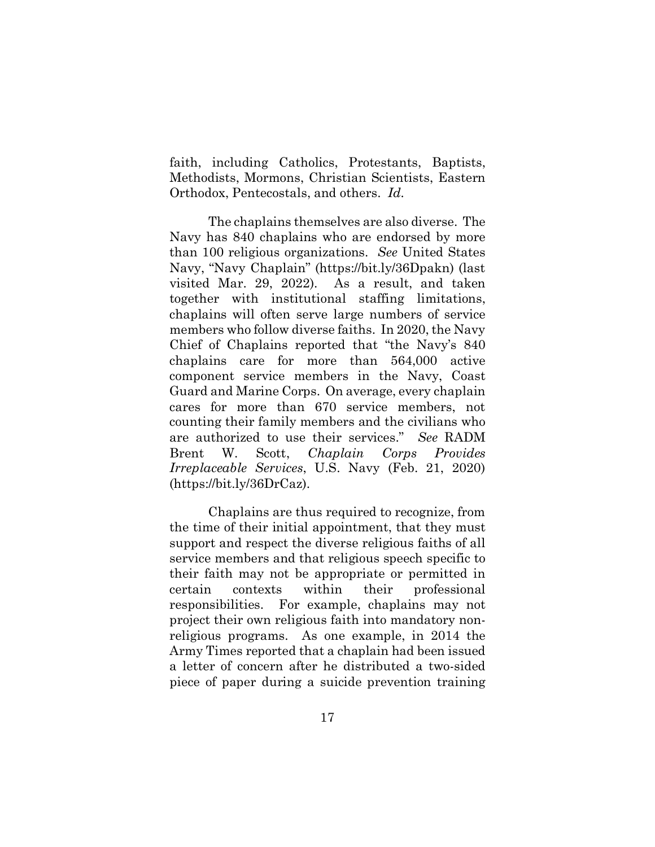faith, including Catholics, Protestants, Baptists, Methodists, Mormons, Christian Scientists, Eastern Orthodox, Pentecostals, and others. *Id.* 

The chaplains themselves are also diverse. The Navy has 840 chaplains who are endorsed by more than 100 religious organizations. *See* United States Navy, "Navy Chaplain" (https://bit.ly/36Dpakn) (last visited Mar. 29, 2022). As a result, and taken together with institutional staffing limitations, chaplains will often serve large numbers of service members who follow diverse faiths. In 2020, the Navy Chief of Chaplains reported that "the Navy's 840 chaplains care for more than 564,000 active component service members in the Navy, Coast Guard and Marine Corps. On average, every chaplain cares for more than 670 service members, not counting their family members and the civilians who are authorized to use their services." *See* RADM Brent W. Scott, *Chaplain Corps Provides Irreplaceable Services*, U.S. Navy (Feb. 21, 2020) (https://bit.ly/36DrCaz).

Chaplains are thus required to recognize, from the time of their initial appointment, that they must support and respect the diverse religious faiths of all service members and that religious speech specific to their faith may not be appropriate or permitted in certain contexts within their professional responsibilities. For example, chaplains may not project their own religious faith into mandatory nonreligious programs. As one example, in 2014 the Army Times reported that a chaplain had been issued a letter of concern after he distributed a two-sided piece of paper during a suicide prevention training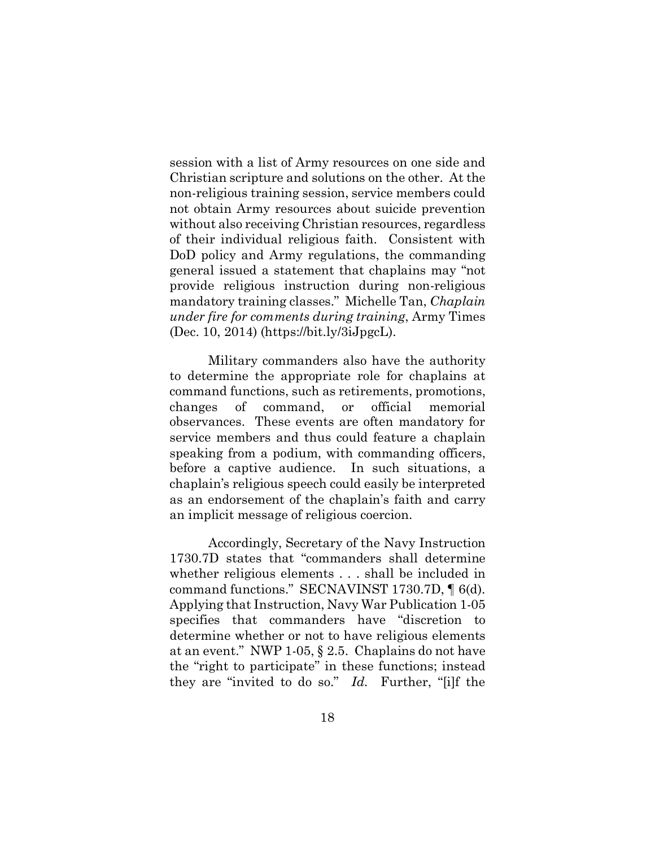session with a list of Army resources on one side and Christian scripture and solutions on the other. At the non-religious training session, service members could not obtain Army resources about suicide prevention without also receiving Christian resources, regardless of their individual religious faith. Consistent with DoD policy and Army regulations, the commanding general issued a statement that chaplains may "not provide religious instruction during non-religious mandatory training classes." Michelle Tan, *Chaplain under fire for comments during training*, Army Times (Dec. 10, 2014) (https://bit.ly/3iJpgcL).

Military commanders also have the authority to determine the appropriate role for chaplains at command functions, such as retirements, promotions, changes of command, or official memorial observances. These events are often mandatory for service members and thus could feature a chaplain speaking from a podium, with commanding officers, before a captive audience. In such situations, a chaplain's religious speech could easily be interpreted as an endorsement of the chaplain's faith and carry an implicit message of religious coercion.

Accordingly, Secretary of the Navy Instruction 1730.7D states that "commanders shall determine whether religious elements . . . shall be included in command functions." SECNAVINST 1730.7D, ¶ 6(d). Applying that Instruction, Navy War Publication 1-05 specifies that commanders have "discretion to determine whether or not to have religious elements at an event." NWP 1-05, § 2.5. Chaplains do not have the "right to participate" in these functions; instead they are "invited to do so." *Id.* Further, "[i]f the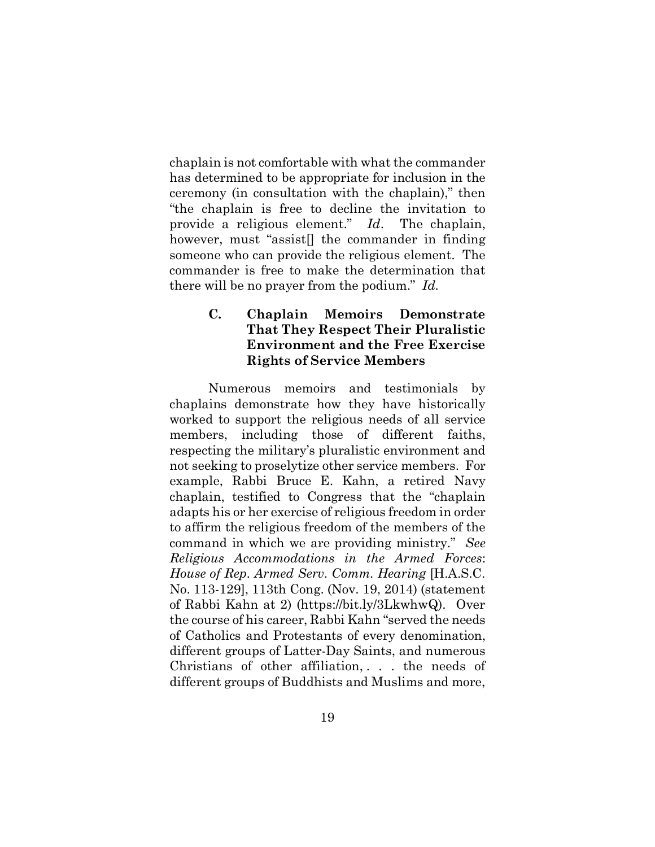chaplain is not comfortable with what the commander has determined to be appropriate for inclusion in the ceremony (in consultation with the chaplain)," then "the chaplain is free to decline the invitation to provide a religious element." *Id*. The chaplain, however, must "assist[] the commander in finding someone who can provide the religious element. The commander is free to make the determination that there will be no prayer from the podium." *Id.*

# **C. Chaplain Memoirs Demonstrate That They Respect Their Pluralistic Environment and the Free Exercise Rights of Service Members**

Numerous memoirs and testimonials by chaplains demonstrate how they have historically worked to support the religious needs of all service members, including those of different faiths, respecting the military's pluralistic environment and not seeking to proselytize other service members. For example, Rabbi Bruce E. Kahn, a retired Navy chaplain, testified to Congress that the "chaplain adapts his or her exercise of religious freedom in order to affirm the religious freedom of the members of the command in which we are providing ministry." *See Religious Accommodations in the Armed Forces*: *House of Rep. Armed Serv. Comm. Hearing* [H.A.S.C. No. 113-129], 113th Cong. (Nov. 19, 2014) (statement of Rabbi Kahn at 2) (https://bit.ly/3LkwhwQ). Over the course of his career, Rabbi Kahn "served the needs of Catholics and Protestants of every denomination, different groups of Latter-Day Saints, and numerous Christians of other affiliation, . . . the needs of different groups of Buddhists and Muslims and more,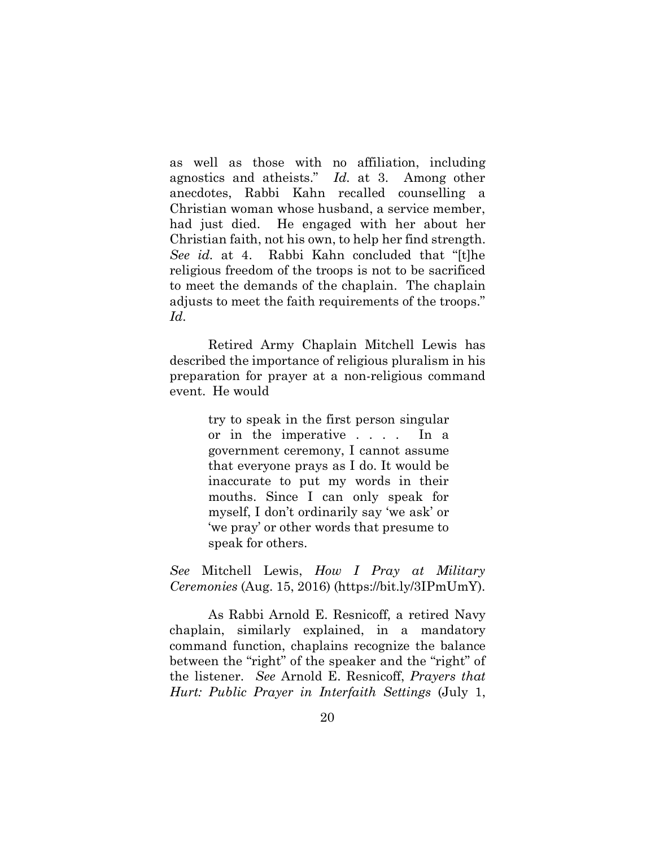as well as those with no affiliation, including agnostics and atheists." *Id.* at 3. Among other anecdotes, Rabbi Kahn recalled counselling a Christian woman whose husband, a service member, had just died. He engaged with her about her Christian faith, not his own, to help her find strength. *See id.* at 4. Rabbi Kahn concluded that "[t]he religious freedom of the troops is not to be sacrificed to meet the demands of the chaplain. The chaplain adjusts to meet the faith requirements of the troops." *Id.*

Retired Army Chaplain Mitchell Lewis has described the importance of religious pluralism in his preparation for prayer at a non-religious command event. He would

> try to speak in the first person singular or in the imperative . . . . In a government ceremony, I cannot assume that everyone prays as I do. It would be inaccurate to put my words in their mouths. Since I can only speak for myself, I don't ordinarily say 'we ask' or 'we pray' or other words that presume to speak for others.

*See* Mitchell Lewis, *How I Pray at Military Ceremonies* (Aug. 15, 2016) (https://bit.ly/3IPmUmY).

As Rabbi Arnold E. Resnicoff, a retired Navy chaplain, similarly explained, in a mandatory command function, chaplains recognize the balance between the "right" of the speaker and the "right" of the listener. *See* Arnold E. Resnicoff, *Prayers that Hurt: Public Prayer in Interfaith Settings* (July 1,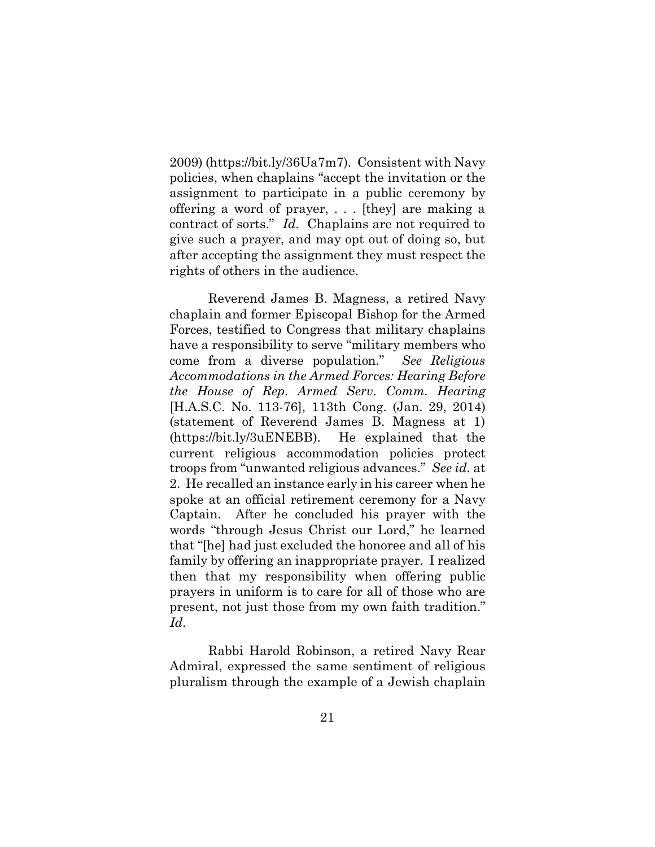2009) (https://bit.ly/36Ua7m7). Consistent with Navy policies, when chaplains "accept the invitation or the assignment to participate in a public ceremony by offering a word of prayer, . . . [they] are making a contract of sorts." *Id.* Chaplains are not required to give such a prayer, and may opt out of doing so, but after accepting the assignment they must respect the rights of others in the audience.

Reverend James B. Magness, a retired Navy chaplain and former Episcopal Bishop for the Armed Forces, testified to Congress that military chaplains have a responsibility to serve "military members who come from a diverse population." *See Religious Accommodations in the Armed Forces: Hearing Before the House of Rep. Armed Serv. Comm. Hearing*  [H.A.S.C. No. 113-76], 113th Cong. (Jan. 29, 2014) (statement of Reverend James B. Magness at 1) (https://bit.ly/3uENEBB). He explained that the current religious accommodation policies protect troops from "unwanted religious advances." *See id.* at 2. He recalled an instance early in his career when he spoke at an official retirement ceremony for a Navy Captain. After he concluded his prayer with the words "through Jesus Christ our Lord," he learned that "[he] had just excluded the honoree and all of his family by offering an inappropriate prayer. I realized then that my responsibility when offering public prayers in uniform is to care for all of those who are present, not just those from my own faith tradition." *Id.*

Rabbi Harold Robinson, a retired Navy Rear Admiral, expressed the same sentiment of religious pluralism through the example of a Jewish chaplain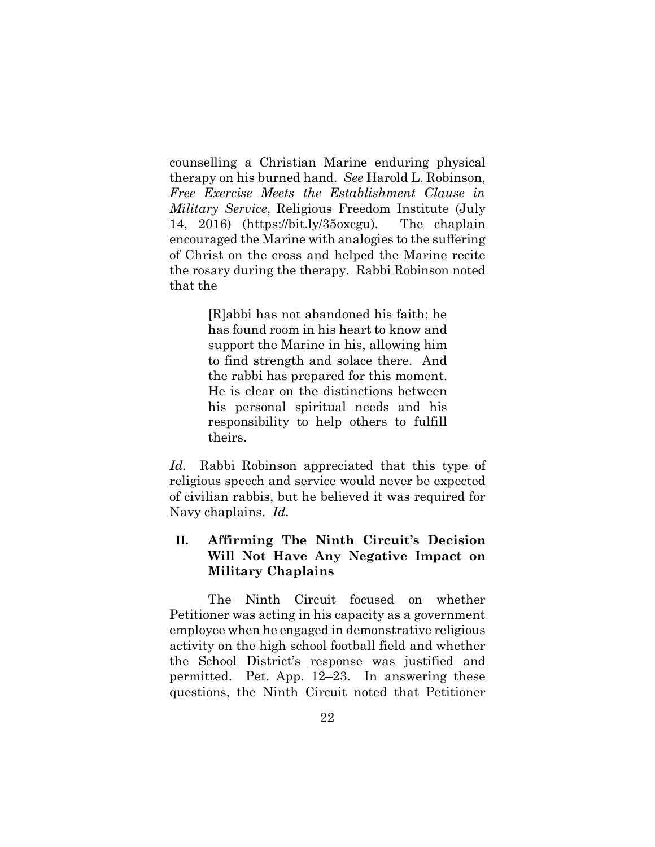counselling a Christian Marine enduring physical therapy on his burned hand. *See* Harold L. Robinson, *Free Exercise Meets the Establishment Clause in Military Service*, Religious Freedom Institute (July 14, 2016) (https://bit.ly/35oxcgu). The chaplain encouraged the Marine with analogies to the suffering of Christ on the cross and helped the Marine recite the rosary during the therapy. Rabbi Robinson noted that the

> [R]abbi has not abandoned his faith; he has found room in his heart to know and support the Marine in his, allowing him to find strength and solace there. And the rabbi has prepared for this moment. He is clear on the distinctions between his personal spiritual needs and his responsibility to help others to fulfill theirs.

*Id.* Rabbi Robinson appreciated that this type of religious speech and service would never be expected of civilian rabbis, but he believed it was required for Navy chaplains. *Id.*

# **II. Affirming The Ninth Circuit's Decision Will Not Have Any Negative Impact on Military Chaplains**

The Ninth Circuit focused on whether Petitioner was acting in his capacity as a government employee when he engaged in demonstrative religious activity on the high school football field and whether the School District's response was justified and permitted. Pet. App. 12–23. In answering these questions, the Ninth Circuit noted that Petitioner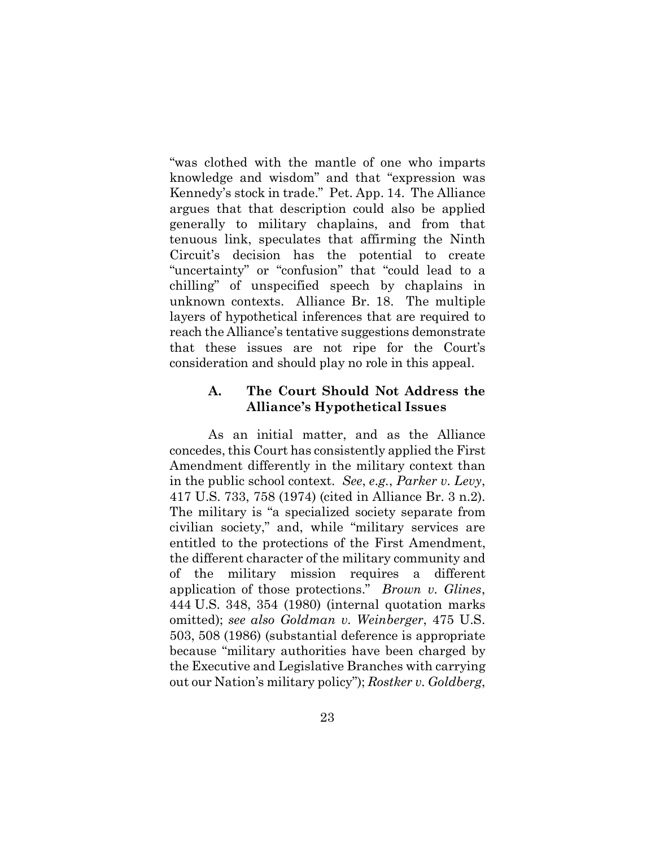"was clothed with the mantle of one who imparts knowledge and wisdom" and that "expression was Kennedy's stock in trade." Pet. App. 14. The Alliance argues that that description could also be applied generally to military chaplains, and from that tenuous link, speculates that affirming the Ninth Circuit's decision has the potential to create "uncertainty" or "confusion" that "could lead to a chilling" of unspecified speech by chaplains in unknown contexts. Alliance Br. 18. The multiple layers of hypothetical inferences that are required to reach the Alliance's tentative suggestions demonstrate that these issues are not ripe for the Court's consideration and should play no role in this appeal.

## **A. The Court Should Not Address the Alliance's Hypothetical Issues**

As an initial matter, and as the Alliance concedes, this Court has consistently applied the First Amendment differently in the military context than in the public school context. *See*, *e.g.*, *Parker v. Levy*, 417 U.S. 733, 758 (1974) (cited in Alliance Br. 3 n.2). The military is "a specialized society separate from civilian society," and, while "military services are entitled to the protections of the First Amendment, the different character of the military community and of the military mission requires a different application of those protections." *Brown v. Glines*, 444 U.S. 348, 354 (1980) (internal quotation marks omitted); *see also Goldman v. Weinberger*, 475 U.S. 503, 508 (1986) (substantial deference is appropriate because "military authorities have been charged by the Executive and Legislative Branches with carrying out our Nation's military policy"); *Rostker v. Goldberg*,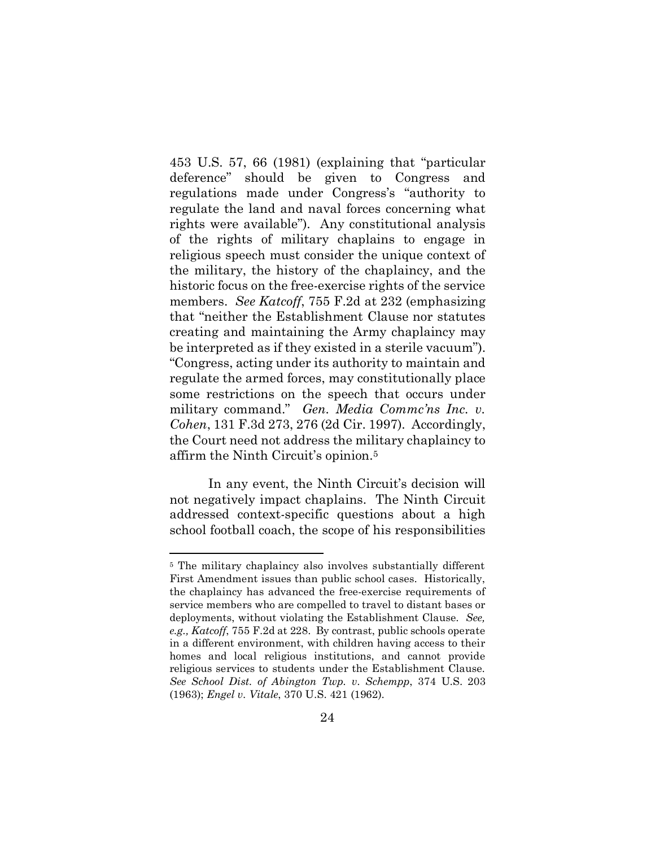453 U.S. 57, 66 (1981) (explaining that "particular deference" should be given to Congress and regulations made under Congress's "authority to regulate the land and naval forces concerning what rights were available"). Any constitutional analysis of the rights of military chaplains to engage in religious speech must consider the unique context of the military, the history of the chaplaincy, and the historic focus on the free-exercise rights of the service members. *See Katcoff*, 755 F.2d at 232 (emphasizing that "neither the Establishment Clause nor statutes creating and maintaining the Army chaplaincy may be interpreted as if they existed in a sterile vacuum"). "Congress, acting under its authority to maintain and regulate the armed forces, may constitutionally place some restrictions on the speech that occurs under military command." *Gen. Media Commc'ns Inc. v. Cohen*, 131 F.3d 273, 276 (2d Cir. 1997). Accordingly, the Court need not address the military chaplaincy to affirm the Ninth Circuit's opinion.[5](#page-29-0) 

In any event, the Ninth Circuit's decision will not negatively impact chaplains. The Ninth Circuit addressed context-specific questions about a high school football coach, the scope of his responsibilities

<span id="page-29-0"></span><sup>5</sup> The military chaplaincy also involves substantially different First Amendment issues than public school cases. Historically, the chaplaincy has advanced the free-exercise requirements of service members who are compelled to travel to distant bases or deployments, without violating the Establishment Clause. *See, e.g., Katcoff*, 755 F.2d at 228. By contrast, public schools operate in a different environment, with children having access to their homes and local religious institutions, and cannot provide religious services to students under the Establishment Clause. *See School Dist. of Abington Twp. v. Schempp*, 374 U.S. 203 (1963); *Engel v. Vitale*, 370 U.S. 421 (1962).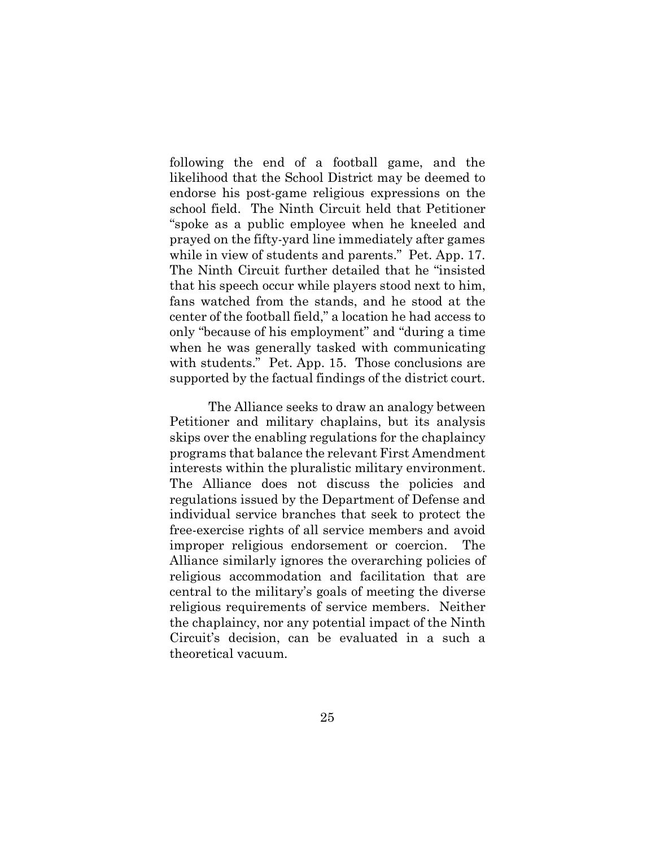following the end of a football game, and the likelihood that the School District may be deemed to endorse his post-game religious expressions on the school field. The Ninth Circuit held that Petitioner "spoke as a public employee when he kneeled and prayed on the fifty-yard line immediately after games while in view of students and parents." Pet. App. 17. The Ninth Circuit further detailed that he "insisted that his speech occur while players stood next to him, fans watched from the stands, and he stood at the center of the football field," a location he had access to only "because of his employment" and "during a time when he was generally tasked with communicating with students." Pet. App. 15. Those conclusions are supported by the factual findings of the district court.

The Alliance seeks to draw an analogy between Petitioner and military chaplains, but its analysis skips over the enabling regulations for the chaplaincy programs that balance the relevant First Amendment interests within the pluralistic military environment. The Alliance does not discuss the policies and regulations issued by the Department of Defense and individual service branches that seek to protect the free-exercise rights of all service members and avoid improper religious endorsement or coercion. The Alliance similarly ignores the overarching policies of religious accommodation and facilitation that are central to the military's goals of meeting the diverse religious requirements of service members. Neither the chaplaincy, nor any potential impact of the Ninth Circuit's decision, can be evaluated in a such a theoretical vacuum.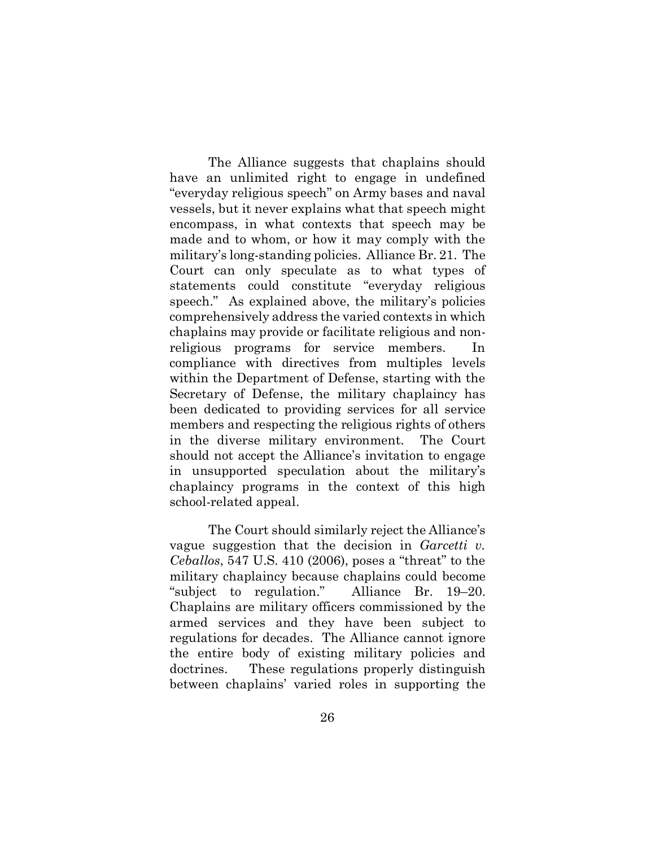The Alliance suggests that chaplains should have an unlimited right to engage in undefined "everyday religious speech" on Army bases and naval vessels, but it never explains what that speech might encompass, in what contexts that speech may be made and to whom, or how it may comply with the military's long-standing policies. Alliance Br. 21. The Court can only speculate as to what types of statements could constitute "everyday religious speech." As explained above, the military's policies comprehensively address the varied contexts in which chaplains may provide or facilitate religious and nonreligious programs for service members. In compliance with directives from multiples levels within the Department of Defense, starting with the Secretary of Defense, the military chaplaincy has been dedicated to providing services for all service members and respecting the religious rights of others in the diverse military environment. The Court should not accept the Alliance's invitation to engage in unsupported speculation about the military's chaplaincy programs in the context of this high school-related appeal.

The Court should similarly reject the Alliance's vague suggestion that the decision in *Garcetti v. Ceballos*, 547 U.S. 410 (2006), poses a "threat" to the military chaplaincy because chaplains could become "subject to regulation." Alliance Br. 19–20. Chaplains are military officers commissioned by the armed services and they have been subject to regulations for decades. The Alliance cannot ignore the entire body of existing military policies and doctrines. These regulations properly distinguish between chaplains' varied roles in supporting the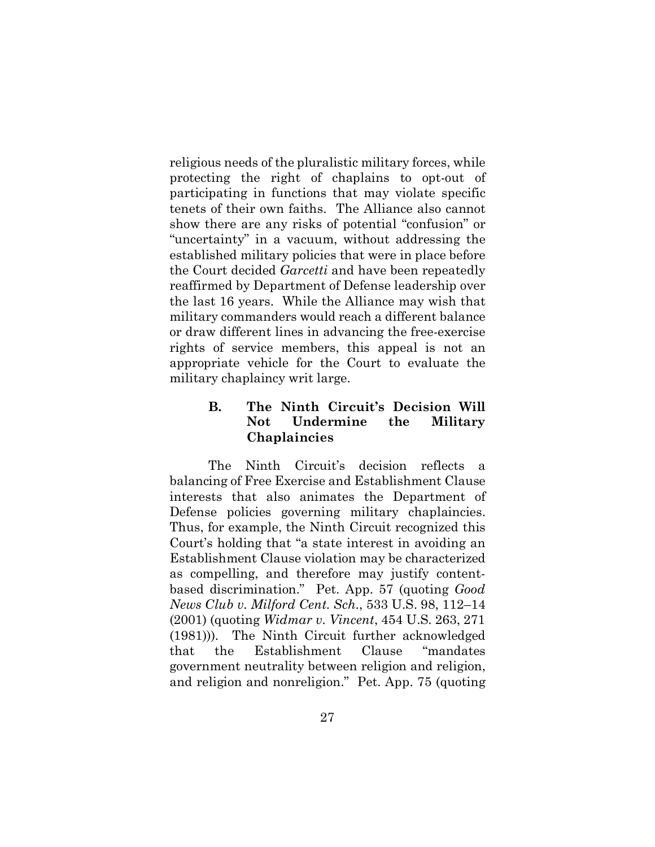religious needs of the pluralistic military forces, while protecting the right of chaplains to opt-out of participating in functions that may violate specific tenets of their own faiths. The Alliance also cannot show there are any risks of potential "confusion" or "uncertainty" in a vacuum, without addressing the established military policies that were in place before the Court decided *Garcetti* and have been repeatedly reaffirmed by Department of Defense leadership over the last 16 years. While the Alliance may wish that military commanders would reach a different balance or draw different lines in advancing the free-exercise rights of service members, this appeal is not an appropriate vehicle for the Court to evaluate the military chaplaincy writ large.

# **B. The Ninth Circuit's Decision Will Not Undermine the Military Chaplaincies**

The Ninth Circuit's decision reflects a balancing of Free Exercise and Establishment Clause interests that also animates the Department of Defense policies governing military chaplaincies. Thus, for example, the Ninth Circuit recognized this Court's holding that "a state interest in avoiding an Establishment Clause violation may be characterized as compelling, and therefore may justify contentbased discrimination." Pet. App. 57 (quoting *Good News Club v. Milford Cent. Sch.*, 533 U.S. 98, 112–14 (2001) (quoting *Widmar v. Vincent*, 454 U.S. 263, 271 (1981))). The Ninth Circuit further acknowledged that the Establishment Clause "mandates government neutrality between religion and religion, and religion and nonreligion." Pet. App. 75 (quoting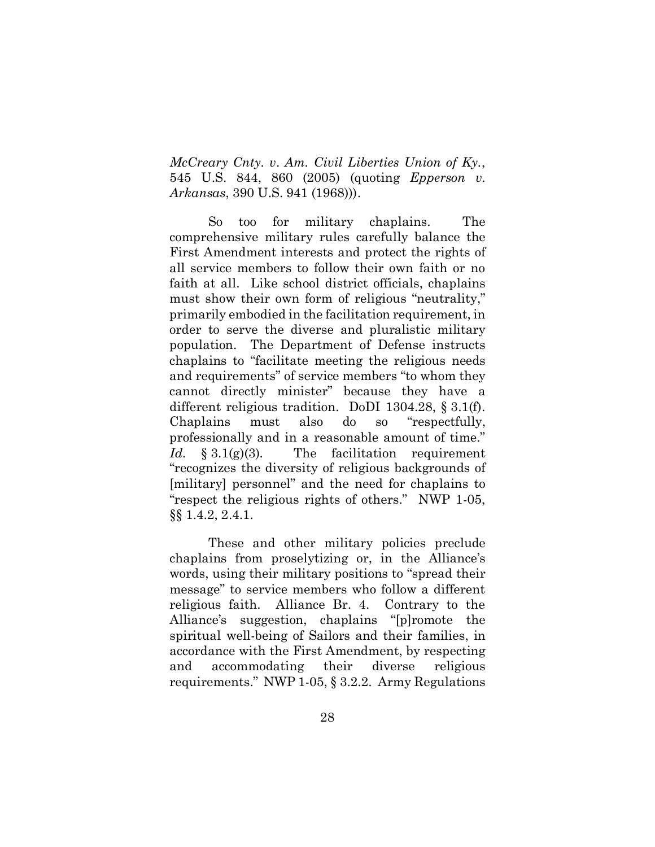*McCreary Cnty. v*. *Am. Civil Liberties Union of Ky.*, 545 U.S. 844, 860 (2005) (quoting *Epperson v. Arkansas*, 390 U.S. 941 (1968))).

So too for military chaplains. The comprehensive military rules carefully balance the First Amendment interests and protect the rights of all service members to follow their own faith or no faith at all. Like school district officials, chaplains must show their own form of religious "neutrality," primarily embodied in the facilitation requirement, in order to serve the diverse and pluralistic military population. The Department of Defense instructs chaplains to "facilitate meeting the religious needs and requirements" of service members "to whom they cannot directly minister" because they have a different religious tradition. DoDI 1304.28, § 3.1(f). Chaplains must also do so "respectfully, professionally and in a reasonable amount of time." *Id.* § 3.1(g)(3)*.* The facilitation requirement "recognizes the diversity of religious backgrounds of [military] personnel" and the need for chaplains to "respect the religious rights of others." NWP 1-05, §§ 1.4.2, 2.4.1.

These and other military policies preclude chaplains from proselytizing or, in the Alliance's words, using their military positions to "spread their message" to service members who follow a different religious faith. Alliance Br. 4. Contrary to the Alliance's suggestion, chaplains "[p]romote the spiritual well-being of Sailors and their families, in accordance with the First Amendment, by respecting and accommodating their diverse religious requirements." NWP 1-05, § 3.2.2. Army Regulations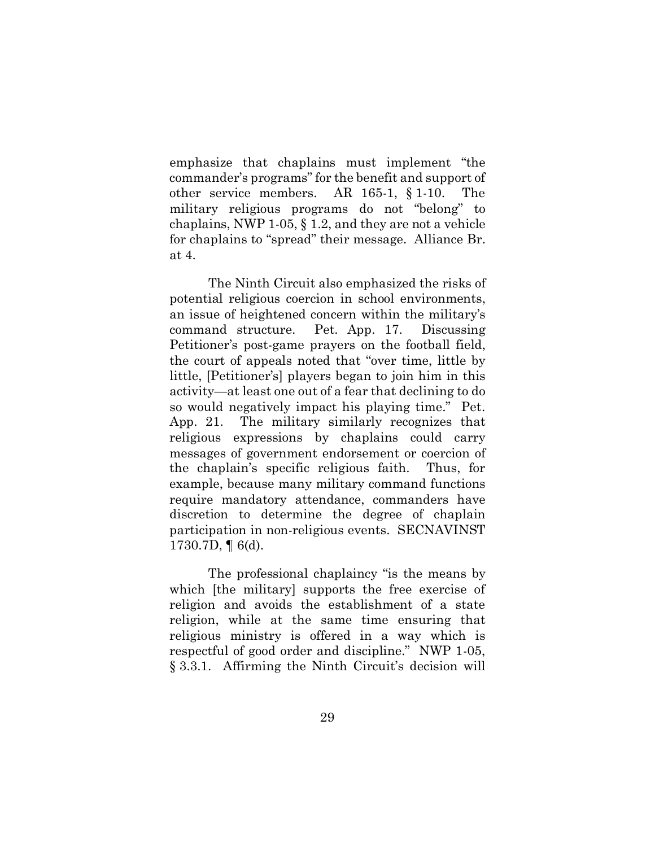emphasize that chaplains must implement "the commander's programs" for the benefit and support of other service members. AR 165-1, § 1-10. The military religious programs do not "belong" to chaplains, NWP 1-05, § 1.2, and they are not a vehicle for chaplains to "spread" their message. Alliance Br. at 4.

The Ninth Circuit also emphasized the risks of potential religious coercion in school environments, an issue of heightened concern within the military's command structure. Pet. App. 17. Discussing Petitioner's post-game prayers on the football field, the court of appeals noted that "over time, little by little, [Petitioner's] players began to join him in this activity—at least one out of a fear that declining to do so would negatively impact his playing time." Pet. App. 21. The military similarly recognizes that religious expressions by chaplains could carry messages of government endorsement or coercion of the chaplain's specific religious faith. Thus, for example, because many military command functions require mandatory attendance, commanders have discretion to determine the degree of chaplain participation in non-religious events. SECNAVINST 1730.7D,  $\P$  6(d).

The professional chaplaincy "is the means by which [the military] supports the free exercise of religion and avoids the establishment of a state religion, while at the same time ensuring that religious ministry is offered in a way which is respectful of good order and discipline." NWP 1-05, § 3.3.1. Affirming the Ninth Circuit's decision will